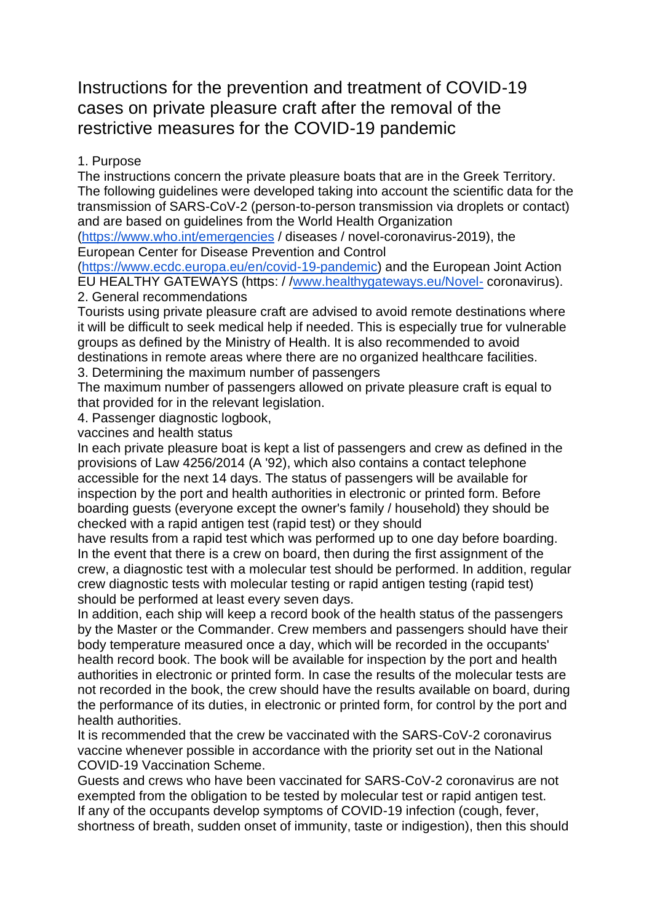## Instructions for the prevention and treatment of COVID-19 cases on private pleasure craft after the removal of the restrictive measures for the COVID-19 pandemic

## 1. Purpose

The instructions concern the private pleasure boats that are in the Greek Territory. The following guidelines were developed taking into account the scientific data for the transmission of SARS-CoV-2 (person-to-person transmission via droplets or contact) and are based on guidelines from the World Health Organization

[\(https://www.who.int/emergencies](https://www.who.int/emergencies) / diseases / novel-coronavirus-2019), the European Center for Disease Prevention and Control

[\(https://www.ecdc.europa.eu/en/covid-19-pandemic\)](https://www.ecdc.europa.eu/en/covid-19-pandemic) and the European Joint Action EU HEALTHY GATEWAYS (https: / [/www.healthygateways.eu/Novel-](http://www.healthygateways.eu/Novel-) coronavirus).

2. General recommendations

Tourists using private pleasure craft are advised to avoid remote destinations where it will be difficult to seek medical help if needed. This is especially true for vulnerable groups as defined by the Ministry of Health. It is also recommended to avoid destinations in remote areas where there are no organized healthcare facilities.

3. Determining the maximum number of passengers

The maximum number of passengers allowed on private pleasure craft is equal to that provided for in the relevant legislation.

4. Passenger diagnostic logbook,

vaccines and health status

In each private pleasure boat is kept a list of passengers and crew as defined in the provisions of Law 4256/2014 (A '92), which also contains a contact telephone accessible for the next 14 days. The status of passengers will be available for inspection by the port and health authorities in electronic or printed form. Before boarding guests (everyone except the owner's family / household) they should be checked with a rapid antigen test (rapid test) or they should

have results from a rapid test which was performed up to one day before boarding. In the event that there is a crew on board, then during the first assignment of the crew, a diagnostic test with a molecular test should be performed. In addition, regular crew diagnostic tests with molecular testing or rapid antigen testing (rapid test) should be performed at least every seven days.

In addition, each ship will keep a record book of the health status of the passengers by the Master or the Commander. Crew members and passengers should have their body temperature measured once a day, which will be recorded in the occupants' health record book. The book will be available for inspection by the port and health authorities in electronic or printed form. In case the results of the molecular tests are not recorded in the book, the crew should have the results available on board, during the performance of its duties, in electronic or printed form, for control by the port and health authorities.

It is recommended that the crew be vaccinated with the SARS-CoV-2 coronavirus vaccine whenever possible in accordance with the priority set out in the National COVID-19 Vaccination Scheme.

Guests and crews who have been vaccinated for SARS-CoV-2 coronavirus are not exempted from the obligation to be tested by molecular test or rapid antigen test. If any of the occupants develop symptoms of COVID-19 infection (cough, fever, shortness of breath, sudden onset of immunity, taste or indigestion), then this should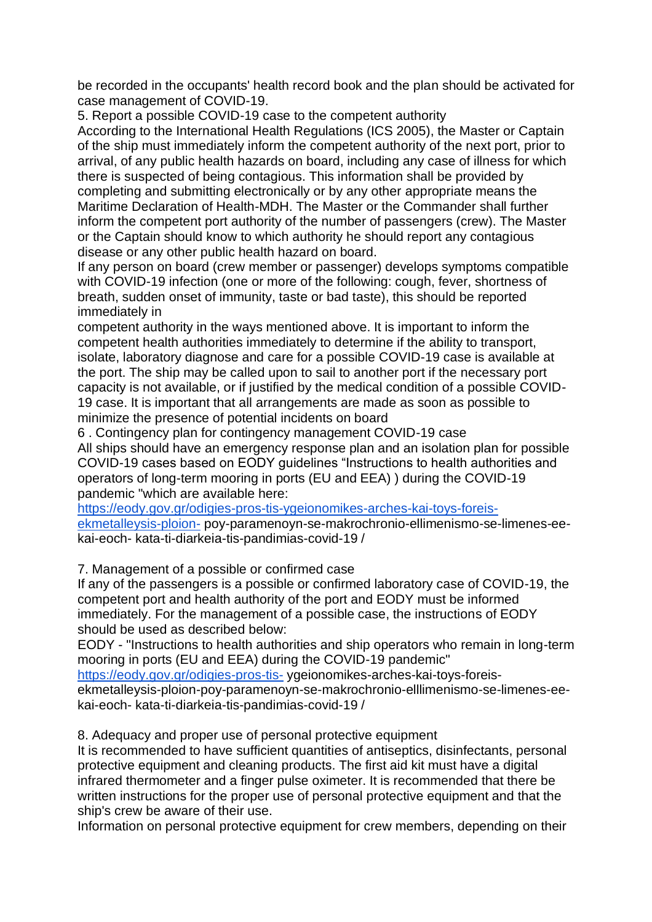be recorded in the occupants' health record book and the plan should be activated for case management of COVID-19.

5. Report a possible COVID-19 case to the competent authority

According to the International Health Regulations (ICS 2005), the Master or Captain of the ship must immediately inform the competent authority of the next port, prior to arrival, of any public health hazards on board, including any case of illness for which there is suspected of being contagious. This information shall be provided by completing and submitting electronically or by any other appropriate means the Maritime Declaration of Health-MDH. The Master or the Commander shall further inform the competent port authority of the number of passengers (crew). The Master or the Captain should know to which authority he should report any contagious disease or any other public health hazard on board.

If any person on board (crew member or passenger) develops symptoms compatible with COVID-19 infection (one or more of the following: cough, fever, shortness of breath, sudden onset of immunity, taste or bad taste), this should be reported immediately in

competent authority in the ways mentioned above. It is important to inform the competent health authorities immediately to determine if the ability to transport, isolate, laboratory diagnose and care for a possible COVID-19 case is available at the port. The ship may be called upon to sail to another port if the necessary port capacity is not available, or if justified by the medical condition of a possible COVID-19 case. It is important that all arrangements are made as soon as possible to minimize the presence of potential incidents on board

6 . Contingency plan for contingency management COVID-19 case All ships should have an emergency response plan and an isolation plan for possible COVID-19 cases based on EODY guidelines "Instructions to health authorities and operators of long-term mooring in ports (EU and EEA) ) during the COVID-19 pandemic "which are available here:

[https://eody.gov.gr/odigies-pros-tis-ygeionomikes-arches-kai-toys-foreis](https://eody.gov.gr/odigies-pros-tis-ygeionomikes-arches-kai-toys-foreis-ekmetalleysis-ploion-)[ekmetalleysis-ploion-](https://eody.gov.gr/odigies-pros-tis-ygeionomikes-arches-kai-toys-foreis-ekmetalleysis-ploion-) poy-paramenoyn-se-makrochronio-ellimenismo-se-limenes-eekai-eoch- kata-ti-diarkeia-tis-pandimias-covid-19 /

7. Management of a possible or confirmed case

If any of the passengers is a possible or confirmed laboratory case of COVID-19, the competent port and health authority of the port and EODY must be informed immediately. For the management of a possible case, the instructions of EODY should be used as described below:

EODY - "Instructions to health authorities and ship operators who remain in long-term mooring in ports (EU and EEA) during the COVID-19 pandemic"

<https://eody.gov.gr/odigies-pros-tis-> ygeionomikes-arches-kai-toys-foreis-

ekmetalleysis-ploion-poy-paramenoyn-se-makrochronio-elllimenismo-se-limenes-eekai-eoch- kata-ti-diarkeia-tis-pandimias-covid-19 /

8. Adequacy and proper use of personal protective equipment

It is recommended to have sufficient quantities of antiseptics, disinfectants, personal protective equipment and cleaning products. The first aid kit must have a digital infrared thermometer and a finger pulse oximeter. It is recommended that there be written instructions for the proper use of personal protective equipment and that the ship's crew be aware of their use.

Information on personal protective equipment for crew members, depending on their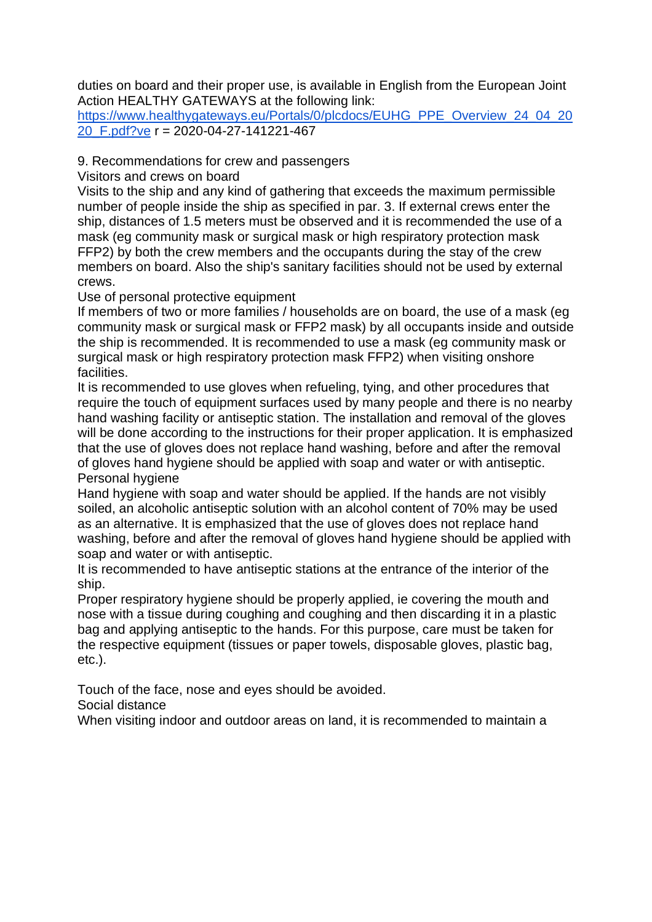duties on board and their proper use, is available in English from the European Joint Action HEALTHY GATEWAYS at the following link:

[https://www.healthygateways.eu/Portals/0/plcdocs/EUHG\\_PPE\\_Overview\\_24\\_04\\_20](https://www.healthygateways.eu/Portals/0/plcdocs/EUHG_PPE_Overview_24_04_2020_F.pdf?ve) [20\\_F.pdf?ve](https://www.healthygateways.eu/Portals/0/plcdocs/EUHG_PPE_Overview_24_04_2020_F.pdf?ve) r = 2020-04-27-141221-467

### 9. Recommendations for crew and passengers

Visitors and crews on board

Visits to the ship and any kind of gathering that exceeds the maximum permissible number of people inside the ship as specified in par. 3. If external crews enter the ship, distances of 1.5 meters must be observed and it is recommended the use of a mask (eg community mask or surgical mask or high respiratory protection mask FFP2) by both the crew members and the occupants during the stay of the crew members on board. Also the ship's sanitary facilities should not be used by external crews.

Use of personal protective equipment

If members of two or more families / households are on board, the use of a mask (eg community mask or surgical mask or FFP2 mask) by all occupants inside and outside the ship is recommended. It is recommended to use a mask (eg community mask or surgical mask or high respiratory protection mask FFP2) when visiting onshore facilities.

It is recommended to use gloves when refueling, tying, and other procedures that require the touch of equipment surfaces used by many people and there is no nearby hand washing facility or antiseptic station. The installation and removal of the gloves will be done according to the instructions for their proper application. It is emphasized that the use of gloves does not replace hand washing, before and after the removal of gloves hand hygiene should be applied with soap and water or with antiseptic. Personal hygiene

Hand hygiene with soap and water should be applied. If the hands are not visibly soiled, an alcoholic antiseptic solution with an alcohol content of 70% may be used as an alternative. It is emphasized that the use of gloves does not replace hand washing, before and after the removal of gloves hand hygiene should be applied with soap and water or with antiseptic.

It is recommended to have antiseptic stations at the entrance of the interior of the ship.

Proper respiratory hygiene should be properly applied, ie covering the mouth and nose with a tissue during coughing and coughing and then discarding it in a plastic bag and applying antiseptic to the hands. For this purpose, care must be taken for the respective equipment (tissues or paper towels, disposable gloves, plastic bag, etc.).

Touch of the face, nose and eyes should be avoided.

Social distance

When visiting indoor and outdoor areas on land, it is recommended to maintain a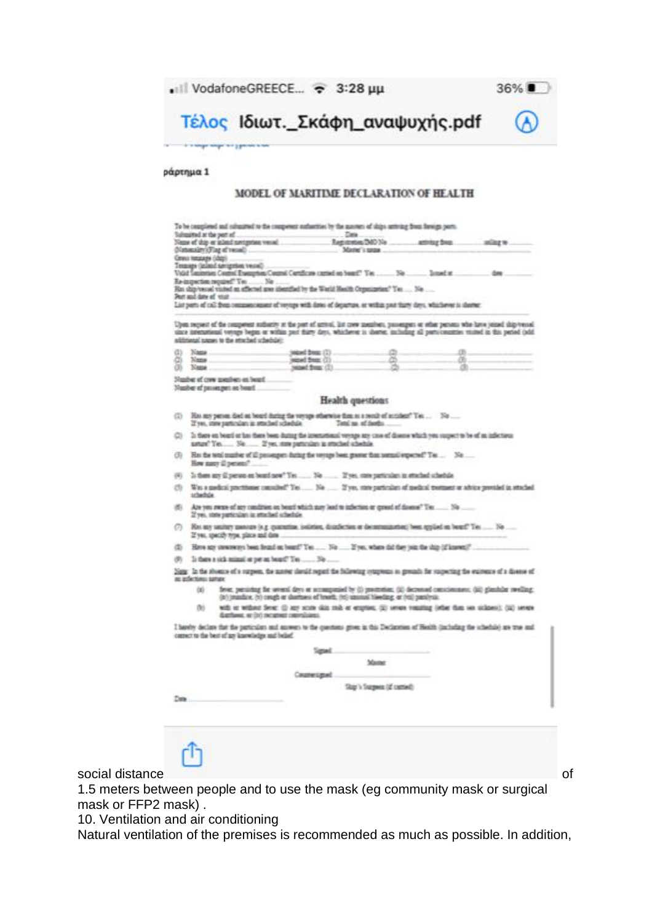• Ill VodafoneGREECE... → 3:28 µµ



Τέλος Ιδιωτ. Σκάφη αναψυχής.pdf

#### ράρτημα 1

#### MODEL OF MARITIME DECLARATION OF HEALTH

|          |                                                                                                                                                                                                     | Submained at the pert of                                                   | Cate                                                                                                                                                                                                                      |                             |    |          |
|----------|-----------------------------------------------------------------------------------------------------------------------------------------------------------------------------------------------------|----------------------------------------------------------------------------|---------------------------------------------------------------------------------------------------------------------------------------------------------------------------------------------------------------------------|-----------------------------|----|----------|
|          |                                                                                                                                                                                                     | Neme of thip or inlend novigation vessel<br>(Nationality) (Fing of vessel) |                                                                                                                                                                                                                           | Mane's same                 |    | miles to |
|          | Cereus tumatages (chip).                                                                                                                                                                            |                                                                            |                                                                                                                                                                                                                           |                             |    |          |
|          |                                                                                                                                                                                                     | George materials had been recent                                           |                                                                                                                                                                                                                           |                             |    |          |
|          |                                                                                                                                                                                                     |                                                                            | Vold Secondar Control Energy from Control Contactor curried on board" Yes  No  Issued at                                                                                                                                  |                             |    | down.    |
|          | Pert and date of vitar                                                                                                                                                                              | Бе-шанстик перший "Тех  Ne .                                               | Has ship vessel visited an affected area identified by the Warld Hasilti Organization." Yes  No                                                                                                                           |                             |    |          |
|          |                                                                                                                                                                                                     |                                                                            | List parts of call from company square of vertige with dates of departure, or within past that's days, whichever is shown:                                                                                                |                             |    |          |
|          |                                                                                                                                                                                                     |                                                                            |                                                                                                                                                                                                                           |                             |    |          |
|          |                                                                                                                                                                                                     |                                                                            | Upon recent of the reagement sufferity at the post of actival. But come members, passengers or other persons who have joined ship/vessel                                                                                  |                             |    |          |
|          |                                                                                                                                                                                                     | relationship batters will recent learning                                  | since international versus began or within part thirty days, whichever is showne, including all personsmittes visited in this period (add.                                                                                |                             |    |          |
|          |                                                                                                                                                                                                     |                                                                            |                                                                                                                                                                                                                           |                             |    |          |
| œ.<br>ā. | Name.<br>$N$ ama                                                                                                                                                                                    |                                                                            | <b>MEMI 2002</b> (1)<br>ingsed from: (2)                                                                                                                                                                                  |                             | 函. |          |
| œ        | Name                                                                                                                                                                                                |                                                                            | senid from (I)                                                                                                                                                                                                            |                             |    |          |
|          |                                                                                                                                                                                                     | Number of crow mombers an based                                            |                                                                                                                                                                                                                           |                             |    |          |
|          |                                                                                                                                                                                                     | Nusher of passengen as based                                               |                                                                                                                                                                                                                           |                             |    |          |
|          |                                                                                                                                                                                                     |                                                                            |                                                                                                                                                                                                                           |                             |    |          |
|          |                                                                                                                                                                                                     |                                                                            | Health questions                                                                                                                                                                                                          |                             |    |          |
| (2)      | Has my person died on board during the veryon otherwise than as a result of notident? Yes  No<br>Total say of family.<br>If you, state particulars in attached schedule.                            |                                                                            |                                                                                                                                                                                                                           |                             |    |          |
| o        | In these on board or has there been during the international veyage any case of disease which you suspect to be of an infectious<br>asture" Yes  No  If yes, may particulars in structual schedule. |                                                                            |                                                                                                                                                                                                                           |                             |    |          |
| G)       | His the total musher of ill prosengers during the verture been grown than termal expected? Tec No<br>How many ill peneer?                                                                           |                                                                            |                                                                                                                                                                                                                           |                             |    |          |
|          | Is then my ill person on board now? Yes  No  If yes, rare particulars in returned schedule.                                                                                                         |                                                                            |                                                                                                                                                                                                                           |                             |    |          |
| (16)     |                                                                                                                                                                                                     |                                                                            |                                                                                                                                                                                                                           |                             |    |          |
| CD.      | Was a gardinal prochision consulted? Tes  No  If you may particulate of modest tremant or whice previded in studied<br>schedule.                                                                    |                                                                            |                                                                                                                                                                                                                           |                             |    |          |
| 图        | Are you neere of any candinist on board which may lead to infection or groud of downs? Twee  No<br>2'yes, state particulars in attached schedule.                                                   |                                                                            |                                                                                                                                                                                                                           |                             |    |          |
| ന        | RH any unitary measure (e.g. quarantiae, joileties, disinfection or decommination) been applied on beard? Tes  No<br>If you, specify type, place and date                                           |                                                                            |                                                                                                                                                                                                                           |                             |    |          |
| Φ        | Here any streaments been fromd on board? Yes  No  You, where did they join the ship (if known)?                                                                                                     |                                                                            |                                                                                                                                                                                                                           |                             |    |          |
| œ.       | Is there a sick animal or pet an board? Yes  No                                                                                                                                                     |                                                                            |                                                                                                                                                                                                                           |                             |    |          |
|          | as infectious sames:                                                                                                                                                                                |                                                                            | Sate: In the absence of a surpent, the autors cleval request the bidewing component in grounds for suspecting the existence of a disease of                                                                               |                             |    |          |
|          | DG:                                                                                                                                                                                                 |                                                                            | fever, persisting the several days or accompanied by (i) proceeding, (ii) decreased consciousness, (iii) glasshine vooling,<br>(it) (masdice, (v) cough or shortness of frooth, (vi) squoted hierding, or (vi) paralysis. |                             |    |          |
|          | DO.                                                                                                                                                                                                 | durrhaves, or (iv) recurrent commissions.                                  | with or without Sever, (i) any scale skin reds or engrises. (ii) seven vocating (ether than see sicknes), (iii) seven                                                                                                     |                             |    |          |
|          |                                                                                                                                                                                                     | cannot to the best of an knowledge and belof.                              | I havely declare that the particulars and answers to the questions grown in this Declaration of Hoshh (including the inhedule) are true and                                                                               |                             |    |          |
|          |                                                                                                                                                                                                     |                                                                            | Sanad.                                                                                                                                                                                                                    |                             |    |          |
|          |                                                                                                                                                                                                     |                                                                            |                                                                                                                                                                                                                           | Mamer                       |    |          |
|          |                                                                                                                                                                                                     |                                                                            |                                                                                                                                                                                                                           |                             |    |          |
|          |                                                                                                                                                                                                     |                                                                            | Couneuped                                                                                                                                                                                                                 |                             |    |          |
|          |                                                                                                                                                                                                     |                                                                            |                                                                                                                                                                                                                           | Slap's Surgeon (at contect) |    |          |
|          |                                                                                                                                                                                                     |                                                                            |                                                                                                                                                                                                                           |                             |    |          |
| Date:    |                                                                                                                                                                                                     |                                                                            |                                                                                                                                                                                                                           |                             |    |          |

# ŕħ

social distance of the contract of the contract of the contract of the contract of the contract of the contract of the contract of the contract of the contract of the contract of the contract of the contract of the contrac

1.5 meters between people and to use the mask (eg community mask or surgical mask or FFP2 mask) .

10. Ventilation and air conditioning

Natural ventilation of the premises is recommended as much as possible. In addition,